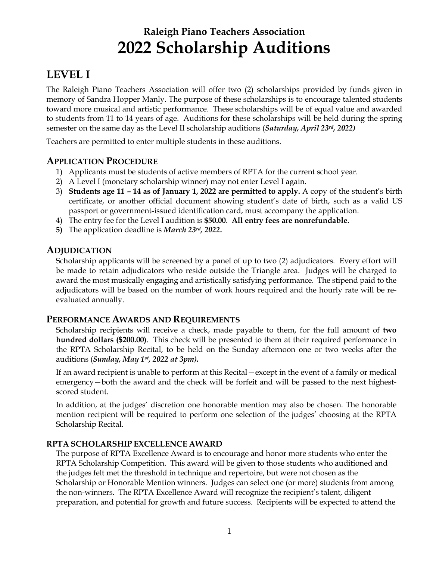# **Raleigh Piano Teachers Association 2022 Scholarship Auditions**

# **LEVEL I**

The Raleigh Piano Teachers Association will offer two (2) scholarships provided by funds given in memory of Sandra Hopper Manly. The purpose of these scholarships is to encourage talented students toward more musical and artistic performance. These scholarships will be of equal value and awarded to students from 11 to 14 years of age. Auditions for these scholarships will be held during the spring semester on the same day as the Level II scholarship auditions (*Saturday, April 23rd , 2022)*

Teachers are permitted to enter multiple students in these auditions.

## **APPLICATION PROCEDURE**

- 1) Applicants must be students of active members of RPTA for the current school year.
- 2) A Level I (monetary scholarship winner) may not enter Level I again.
- 3) **Students age 11 – 14 as of January 1, 2022 are permitted to apply.** A copy of the student's birth certificate, or another official document showing student's date of birth, such as a valid US passport or government-issued identification card, must accompany the application.
- 4) The entry fee for the Level I audition is **\$50.00**. **All entry fees are nonrefundable.**
- **5)** The application deadline is *March 23rd , 2022***.**

### **ADJUDICATION**

Scholarship applicants will be screened by a panel of up to two (2) adjudicators. Every effort will be made to retain adjudicators who reside outside the Triangle area. Judges will be charged to award the most musically engaging and artistically satisfying performance. The stipend paid to the adjudicators will be based on the number of work hours required and the hourly rate will be reevaluated annually.

### **PERFORMANCE AWARDS AND REQUIREMENTS**

Scholarship recipients will receive a check, made payable to them, for the full amount of **two hundred dollars (\$200.00)**. This check will be presented to them at their required performance in the RPTA Scholarship Recital, to be held on the Sunday afternoon one or two weeks after the auditions (*Sunday, May 1 st , 2022 at 3pm).*

If an award recipient is unable to perform at this Recital—except in the event of a family or medical emergency—both the award and the check will be forfeit and will be passed to the next highestscored student.

In addition, at the judges' discretion one honorable mention may also be chosen. The honorable mention recipient will be required to perform one selection of the judges' choosing at the RPTA Scholarship Recital.

### **RPTA SCHOLARSHIP EXCELLENCE AWARD**

The purpose of RPTA Excellence Award is to encourage and honor more students who enter the RPTA Scholarship Competition. This award will be given to those students who auditioned and the judges felt met the threshold in technique and repertoire, but were not chosen as the Scholarship or Honorable Mention winners. Judges can select one (or more) students from among the non-winners. The RPTA Excellence Award will recognize the recipient's talent, diligent preparation, and potential for growth and future success. Recipients will be expected to attend the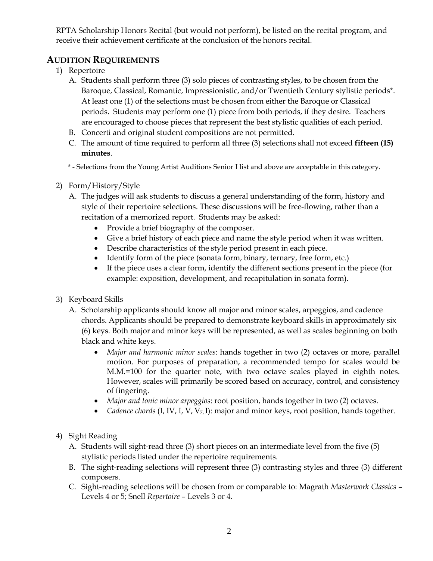RPTA Scholarship Honors Recital (but would not perform), be listed on the recital program, and receive their achievement certificate at the conclusion of the honors recital.

## **AUDITION REQUIREMENTS**

- 1) Repertoire
	- A. Students shall perform three (3) solo pieces of contrasting styles, to be chosen from the Baroque, Classical, Romantic, Impressionistic, and/or Twentieth Century stylistic periods\*. At least one (1) of the selections must be chosen from either the Baroque or Classical periods. Students may perform one (1) piece from both periods, if they desire. Teachers are encouraged to choose pieces that represent the best stylistic qualities of each period.
	- B. Concerti and original student compositions are not permitted.
	- C. The amount of time required to perform all three (3) selections shall not exceed **fifteen (15) minutes**.
	- \* Selections from the Young Artist Auditions Senior I list and above are acceptable in this category.
- 2) Form/History/Style
	- A. The judges will ask students to discuss a general understanding of the form, history and style of their repertoire selections. These discussions will be free-flowing, rather than a recitation of a memorized report. Students may be asked:
		- Provide a brief biography of the composer.
		- Give a brief history of each piece and name the style period when it was written.
		- Describe characteristics of the style period present in each piece.
		- Identify form of the piece (sonata form, binary, ternary, free form, etc.)
		- If the piece uses a clear form, identify the different sections present in the piece (for example: exposition, development, and recapitulation in sonata form).
- 3) Keyboard Skills
	- A. Scholarship applicants should know all major and minor scales, arpeggios, and cadence chords. Applicants should be prepared to demonstrate keyboard skills in approximately six (6) keys. Both major and minor keys will be represented, as well as scales beginning on both black and white keys.
		- *Major and harmonic minor scales*: hands together in two (2) octaves or more, parallel motion. For purposes of preparation, a recommended tempo for scales would be M.M.=100 for the quarter note, with two octave scales played in eighth notes. However, scales will primarily be scored based on accuracy, control, and consistency of fingering.
		- *Major and tonic minor arpeggios*: root position, hands together in two (2) octaves.
		- *Cadence chords* (I, IV, I, V, V7, I): major and minor keys, root position, hands together.
- 4) Sight Reading
	- A. Students will sight-read three (3) short pieces on an intermediate level from the five (5) stylistic periods listed under the repertoire requirements.
	- B. The sight-reading selections will represent three (3) contrasting styles and three (3) different composers.
	- C. Sight-reading selections will be chosen from or comparable to: Magrath *Masterwork Classics* Levels 4 or 5; Snell *Repertoire* – Levels 3 or 4.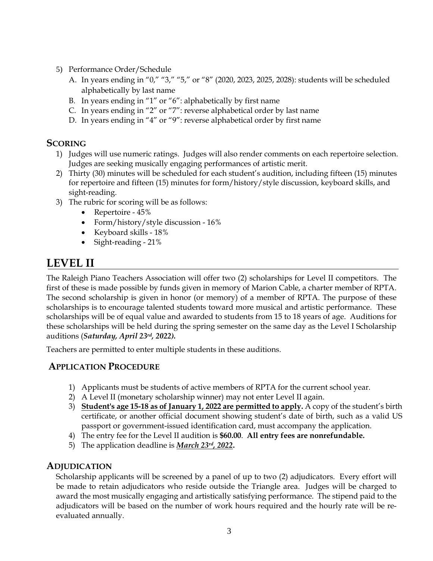- 5) Performance Order/Schedule
	- A. In years ending in "0," "3," "5," or "8" (2020, 2023, 2025, 2028): students will be scheduled alphabetically by last name
	- B. In years ending in "1" or "6": alphabetically by first name
	- C. In years ending in "2" or "7": reverse alphabetical order by last name
	- D. In years ending in "4" or "9": reverse alphabetical order by first name

### **SCORING**

- 1) Judges will use numeric ratings. Judges will also render comments on each repertoire selection. Judges are seeking musically engaging performances of artistic merit.
- 2) Thirty (30) minutes will be scheduled for each student's audition, including fifteen (15) minutes for repertoire and fifteen (15) minutes for form/history/style discussion, keyboard skills, and sight-reading.
- 3) The rubric for scoring will be as follows:
	- Repertoire 45%
	- Form/history/style discussion 16%
	- Keyboard skills 18%
	- Sight-reading 21%

# **LEVEL II**

The Raleigh Piano Teachers Association will offer two (2) scholarships for Level II competitors. The first of these is made possible by funds given in memory of Marion Cable, a charter member of RPTA. The second scholarship is given in honor (or memory) of a member of RPTA. The purpose of these scholarships is to encourage talented students toward more musical and artistic performance. These scholarships will be of equal value and awarded to students from 15 to 18 years of age. Auditions for these scholarships will be held during the spring semester on the same day as the Level I Scholarship auditions (*Saturday, April 23rd , 2022).*

Teachers are permitted to enter multiple students in these auditions.

### **APPLICATION PROCEDURE**

- 1) Applicants must be students of active members of RPTA for the current school year.
- 2) A Level II (monetary scholarship winner) may not enter Level II again.
- 3) **Student's age 15-18 as of January 1, 2022 are permitted to apply.** A copy of the student's birth certificate, or another official document showing student's date of birth, such as a valid US passport or government-issued identification card, must accompany the application.
- 4) The entry fee for the Level II audition is **\$60.00**. **All entry fees are nonrefundable.**
- 5) The application deadline is *March 23rd , 2022***.**

### **ADJUDICATION**

Scholarship applicants will be screened by a panel of up to two (2) adjudicators. Every effort will be made to retain adjudicators who reside outside the Triangle area. Judges will be charged to award the most musically engaging and artistically satisfying performance. The stipend paid to the adjudicators will be based on the number of work hours required and the hourly rate will be reevaluated annually.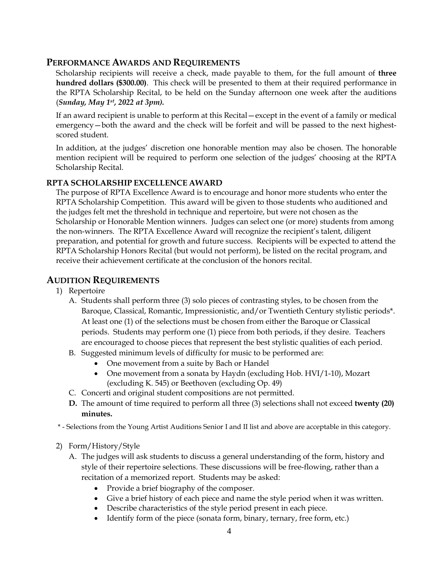#### **PERFORMANCE AWARDS AND REQUIREMENTS**

Scholarship recipients will receive a check, made payable to them, for the full amount of **three hundred dollars (\$300.00)**. This check will be presented to them at their required performance in the RPTA Scholarship Recital, to be held on the Sunday afternoon one week after the auditions (*Sunday, May 1 st , 2022 at 3pm).*

If an award recipient is unable to perform at this Recital—except in the event of a family or medical emergency—both the award and the check will be forfeit and will be passed to the next highestscored student.

In addition, at the judges' discretion one honorable mention may also be chosen. The honorable mention recipient will be required to perform one selection of the judges' choosing at the RPTA Scholarship Recital.

#### **RPTA SCHOLARSHIP EXCELLENCE AWARD**

The purpose of RPTA Excellence Award is to encourage and honor more students who enter the RPTA Scholarship Competition. This award will be given to those students who auditioned and the judges felt met the threshold in technique and repertoire, but were not chosen as the Scholarship or Honorable Mention winners. Judges can select one (or more) students from among the non-winners. The RPTA Excellence Award will recognize the recipient's talent, diligent preparation, and potential for growth and future success. Recipients will be expected to attend the RPTA Scholarship Honors Recital (but would not perform), be listed on the recital program, and receive their achievement certificate at the conclusion of the honors recital.

### **AUDITION REQUIREMENTS**

- 1) Repertoire
	- A. Students shall perform three (3) solo pieces of contrasting styles, to be chosen from the Baroque, Classical, Romantic, Impressionistic, and/or Twentieth Century stylistic periods\*. At least one (1) of the selections must be chosen from either the Baroque or Classical periods. Students may perform one (1) piece from both periods, if they desire. Teachers are encouraged to choose pieces that represent the best stylistic qualities of each period.
	- B. Suggested minimum levels of difficulty for music to be performed are:
		- One movement from a suite by Bach or Handel
		- One movement from a sonata by Haydn (excluding Hob. HVI/1-10), Mozart (excluding K. 545) or Beethoven (excluding Op. 49)
	- C. Concerti and original student compositions are not permitted.
	- **D.** The amount of time required to perform all three (3) selections shall not exceed **twenty (20) minutes.**

\* - Selections from the Young Artist Auditions Senior I and II list and above are acceptable in this category.

- 2) Form/History/Style
	- A. The judges will ask students to discuss a general understanding of the form, history and style of their repertoire selections. These discussions will be free-flowing, rather than a recitation of a memorized report. Students may be asked:
		- Provide a brief biography of the composer.
		- Give a brief history of each piece and name the style period when it was written.
		- Describe characteristics of the style period present in each piece.
		- Identify form of the piece (sonata form, binary, ternary, free form, etc.)